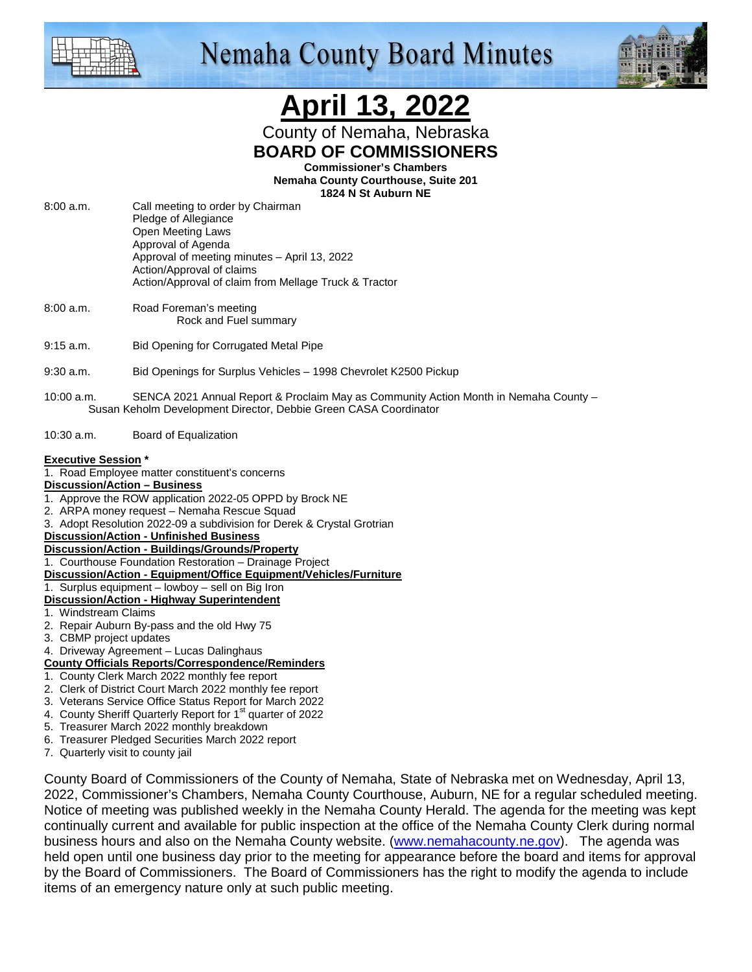

# **Nemaha County Board Minutes**



# **April 13, 2022**

County of Nemaha, Nebraska **BOARD OF COMMISSIONERS** 

**Commissioner's Chambers** 

**Nemaha County Courthouse, Suite 201 1824 N St Auburn NE** 

- 8:00 a.m. Call meeting to order by Chairman Pledge of Allegiance Open Meeting Laws Approval of Agenda Approval of meeting minutes – April 13, 2022 Action/Approval of claims Action/Approval of claim from Mellage Truck & Tractor
- 8:00 a.m. Road Foreman's meeting Rock and Fuel summary
- 9:15 a.m. Bid Opening for Corrugated Metal Pipe
- 9:30 a.m. Bid Openings for Surplus Vehicles 1998 Chevrolet K2500 Pickup
- 10:00 a.m. SENCA 2021 Annual Report & Proclaim May as Community Action Month in Nemaha County Susan Keholm Development Director, Debbie Green CASA Coordinator
- 10:30 a.m. Board of Equalization

#### **Executive Session \***

1. Road Employee matter constituent's concerns

#### **Discussion/Action – Business**

- 1. Approve the ROW application 2022-05 OPPD by Brock NE
- 2. ARPA money request Nemaha Rescue Squad
- 3. Adopt Resolution 2022-09 a subdivision for Derek & Crystal Grotrian

#### **Discussion/Action - Unfinished Business**

- **Discussion/Action Buildings/Grounds/Property**
- 1. Courthouse Foundation Restoration Drainage Project
- **Discussion/Action Equipment/Office Equipment/Vehicles/Furniture**

#### 1. Surplus equipment – lowboy – sell on Big Iron

- **Discussion/Action Highway Superintendent**
- 1. Windstream Claims
- 2. Repair Auburn By-pass and the old Hwy 75
- 3. CBMP project updates
- 4. Driveway Agreement Lucas Dalinghaus

#### **County Officials Reports/Correspondence/Reminders**

- 1. County Clerk March 2022 monthly fee report
- 2. Clerk of District Court March 2022 monthly fee report
- 3. Veterans Service Office Status Report for March 2022
- 4. County Sheriff Quarterly Report for 1<sup>st</sup> quarter of 2022
- 5. Treasurer March 2022 monthly breakdown
- 6. Treasurer Pledged Securities March 2022 report
- 7. Quarterly visit to county jail

County Board of Commissioners of the County of Nemaha, State of Nebraska met on Wednesday, April 13, 2022, Commissioner's Chambers, Nemaha County Courthouse, Auburn, NE for a regular scheduled meeting. Notice of meeting was published weekly in the Nemaha County Herald. The agenda for the meeting was kept continually current and available for public inspection at the office of the Nemaha County Clerk during normal business hours and also on the Nemaha County website. (www.nemahacounty.ne.gov). The agenda was held open until one business day prior to the meeting for appearance before the board and items for approval by the Board of Commissioners. The Board of Commissioners has the right to modify the agenda to include items of an emergency nature only at such public meeting.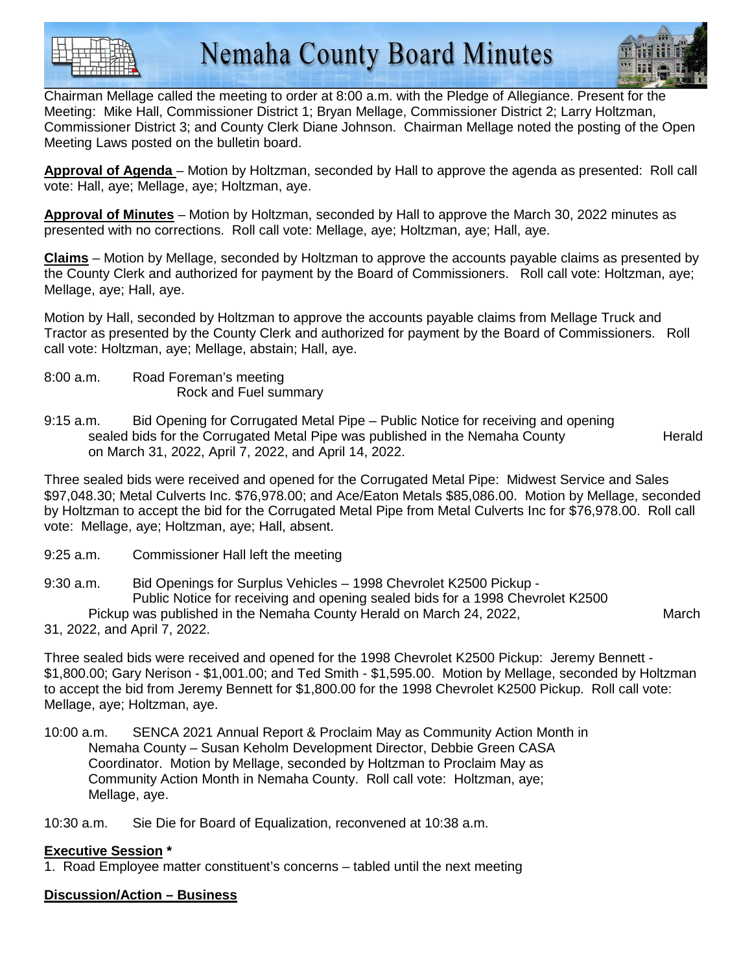



Chairman Mellage called the meeting to order at 8:00 a.m. with the Pledge of Allegiance. Present for the Meeting: Mike Hall, Commissioner District 1; Bryan Mellage, Commissioner District 2; Larry Holtzman, Commissioner District 3; and County Clerk Diane Johnson. Chairman Mellage noted the posting of the Open Meeting Laws posted on the bulletin board.

**Approval of Agenda** – Motion by Holtzman, seconded by Hall to approve the agenda as presented: Roll call vote: Hall, aye; Mellage, aye; Holtzman, aye.

**Approval of Minutes** – Motion by Holtzman, seconded by Hall to approve the March 30, 2022 minutes as presented with no corrections. Roll call vote: Mellage, aye; Holtzman, aye; Hall, aye.

**Claims** – Motion by Mellage, seconded by Holtzman to approve the accounts payable claims as presented by the County Clerk and authorized for payment by the Board of Commissioners. Roll call vote: Holtzman, aye; Mellage, aye; Hall, aye.

Motion by Hall, seconded by Holtzman to approve the accounts payable claims from Mellage Truck and Tractor as presented by the County Clerk and authorized for payment by the Board of Commissioners. Roll call vote: Holtzman, aye; Mellage, abstain; Hall, aye.

- 8:00 a.m. Road Foreman's meeting Rock and Fuel summary
- 9:15 a.m. Bid Opening for Corrugated Metal Pipe Public Notice for receiving and opening sealed bids for the Corrugated Metal Pipe was published in the Nemaha County **Herald** on March 31, 2022, April 7, 2022, and April 14, 2022.

Three sealed bids were received and opened for the Corrugated Metal Pipe: Midwest Service and Sales \$97,048.30; Metal Culverts Inc. \$76,978.00; and Ace/Eaton Metals \$85,086.00. Motion by Mellage, seconded by Holtzman to accept the bid for the Corrugated Metal Pipe from Metal Culverts Inc for \$76,978.00. Roll call vote: Mellage, aye; Holtzman, aye; Hall, absent.

9:25 a.m. Commissioner Hall left the meeting

9:30 a.m. Bid Openings for Surplus Vehicles – 1998 Chevrolet K2500 Pickup - Public Notice for receiving and opening sealed bids for a 1998 Chevrolet K2500 Pickup was published in the Nemaha County Herald on March 24, 2022,

31, 2022, and April 7, 2022.

Three sealed bids were received and opened for the 1998 Chevrolet K2500 Pickup: Jeremy Bennett - \$1,800.00; Gary Nerison - \$1,001.00; and Ted Smith - \$1,595.00. Motion by Mellage, seconded by Holtzman to accept the bid from Jeremy Bennett for \$1,800.00 for the 1998 Chevrolet K2500 Pickup. Roll call vote: Mellage, aye; Holtzman, aye.

10:00 a.m. SENCA 2021 Annual Report & Proclaim May as Community Action Month in Nemaha County – Susan Keholm Development Director, Debbie Green CASA Coordinator. Motion by Mellage, seconded by Holtzman to Proclaim May as Community Action Month in Nemaha County. Roll call vote: Holtzman, aye; Mellage, aye.

10:30 a.m. Sie Die for Board of Equalization, reconvened at 10:38 a.m.

### **Executive Session \***

1. Road Employee matter constituent's concerns – tabled until the next meeting

# **Discussion/Action – Business**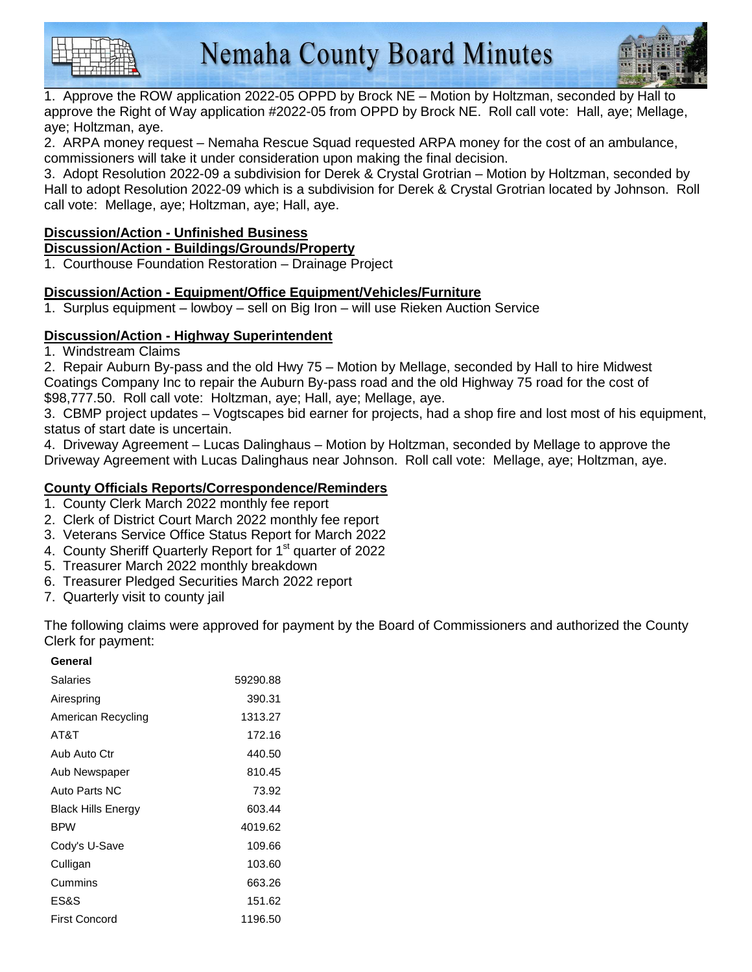

1. Approve the ROW application 2022-05 OPPD by Brock NE – Motion by Holtzman, seconded by Hall to approve the Right of Way application #2022-05 from OPPD by Brock NE. Roll call vote: Hall, aye; Mellage, aye; Holtzman, aye.

2. ARPA money request – Nemaha Rescue Squad requested ARPA money for the cost of an ambulance, commissioners will take it under consideration upon making the final decision.

3. Adopt Resolution 2022-09 a subdivision for Derek & Crystal Grotrian – Motion by Holtzman, seconded by Hall to adopt Resolution 2022-09 which is a subdivision for Derek & Crystal Grotrian located by Johnson. Roll call vote: Mellage, aye; Holtzman, aye; Hall, aye.

## **Discussion/Action - Unfinished Business**

### **Discussion/Action - Buildings/Grounds/Property**

1. Courthouse Foundation Restoration – Drainage Project

# **Discussion/Action - Equipment/Office Equipment/Vehicles/Furniture**

1. Surplus equipment – lowboy – sell on Big Iron – will use Rieken Auction Service

### **Discussion/Action - Highway Superintendent**

1. Windstream Claims

2. Repair Auburn By-pass and the old Hwy 75 – Motion by Mellage, seconded by Hall to hire Midwest Coatings Company Inc to repair the Auburn By-pass road and the old Highway 75 road for the cost of \$98,777.50. Roll call vote: Holtzman, aye; Hall, aye; Mellage, aye.

3. CBMP project updates – Vogtscapes bid earner for projects, had a shop fire and lost most of his equipment, status of start date is uncertain.

4. Driveway Agreement – Lucas Dalinghaus – Motion by Holtzman, seconded by Mellage to approve the Driveway Agreement with Lucas Dalinghaus near Johnson. Roll call vote: Mellage, aye; Holtzman, aye.

## **County Officials Reports/Correspondence/Reminders**

- 1. County Clerk March 2022 monthly fee report
- 2. Clerk of District Court March 2022 monthly fee report
- 3. Veterans Service Office Status Report for March 2022
- 4. County Sheriff Quarterly Report for 1<sup>st</sup> quarter of 2022
- 5. Treasurer March 2022 monthly breakdown
- 6. Treasurer Pledged Securities March 2022 report
- 7. Quarterly visit to county jail

The following claims were approved for payment by the Board of Commissioners and authorized the County Clerk for payment:

#### **General**

| <b>Salaries</b>           | 59290.88 |
|---------------------------|----------|
| Airespring                | 390.31   |
| American Recycling        | 1313.27  |
| AT&T                      | 172.16   |
| Aub Auto Ctr              | 440.50   |
| Aub Newspaper             | 810.45   |
| Auto Parts NC             | 73.92    |
| <b>Black Hills Energy</b> | 603.44   |
| <b>BPW</b>                | 4019.62  |
| Cody's U-Save             | 109.66   |
| Culligan                  | 103.60   |
| Cummins                   | 663.26   |
| ES&S                      | 151.62   |
| <b>First Concord</b>      | 1196.50  |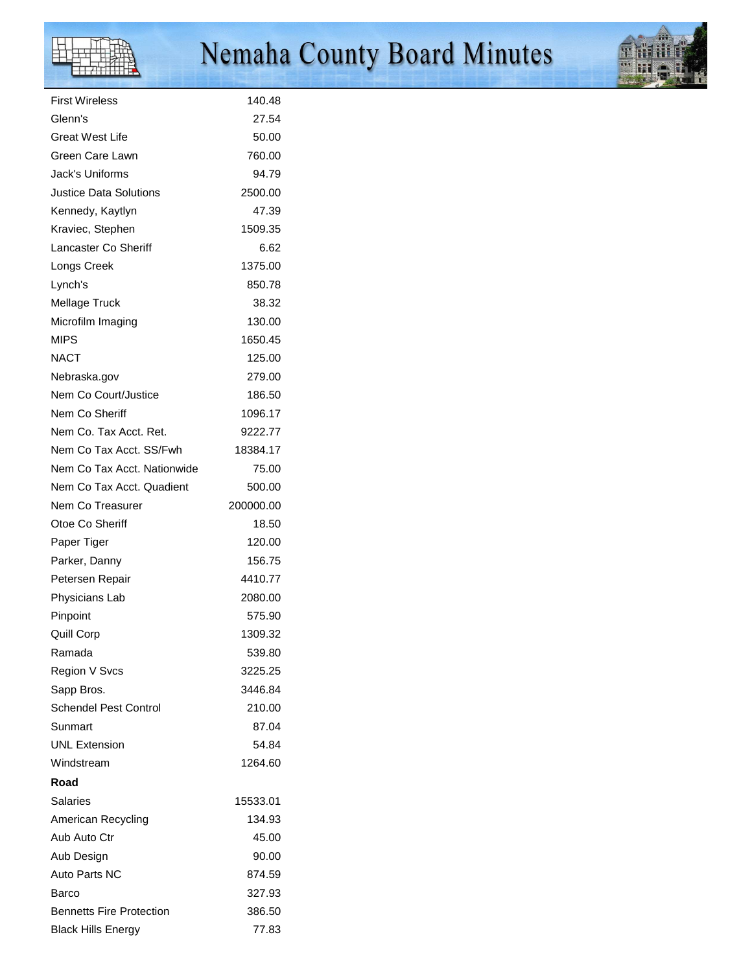# $\mathbb F$

# Nemaha County Board Minutes



| First Wireless               | 140.48    |
|------------------------------|-----------|
| Glenn's                      | 27.54     |
| Great West Life              | 50.00     |
| Green Care Lawn              | 760.00    |
| Jack's Uniforms              | 94.79     |
| Justice Data Solutions       | 2500.00   |
| Kennedy, Kaytlyn             | 47.39     |
| Kraviec, Stephen             | 1509.35   |
| Lancaster Co Sheriff         | 6.62      |
| Longs Creek                  | 1375.00   |
| Lynch's                      | 850.78    |
| Mellage Truck                | 38.32     |
| Microfilm Imaging            | 130.00    |
| <b>MIPS</b>                  | 1650.45   |
| <b>NACT</b>                  | 125.00    |
| Nebraska.gov                 | 279.00    |
| Nem Co Court/Justice         | 186.50    |
| Nem Co Sheriff               | 1096.17   |
| Nem Co. Tax Acct. Ret.       | 9222.77   |
| Nem Co Tax Acct. SS/Fwh      | 18384.17  |
| Nem Co Tax Acct. Nationwide  | 75.00     |
| Nem Co Tax Acct. Quadient    | 500.00    |
| Nem Co Treasurer             | 200000.00 |
| Otoe Co Sheriff              | 18.50     |
| Paper Tiger                  | 120.00    |
| Parker, Danny                | 156.75    |
| Petersen Repair              | 4410.77   |
| Physicians Lab               | 2080.00   |
| Pinpoint                     | 575.90    |
| Quill Corp                   | 1309.32   |
| Ramada                       | 539.80    |
| Region V Svcs                | 3225.25   |
| Sapp Bros.                   | 3446.84   |
| <b>Schendel Pest Control</b> | 210.00    |
| Sunmart                      | 87.04     |
| <b>UNL Extension</b>         | 54.84     |
| Windstream                   | 1264.60   |
| Road                         |           |
| Salaries                     | 15533.01  |
| American Recycling           | 134.93    |
| Aub Auto Ctr                 | 45.00     |
| Aub Design                   | 90.00     |
| Auto Parts NC                | 874.59    |
| Barco                        | 327.93    |
| Bennetts Fire Protection     | 386.50    |
| <b>Black Hills Energy</b>    | 77.83     |
|                              |           |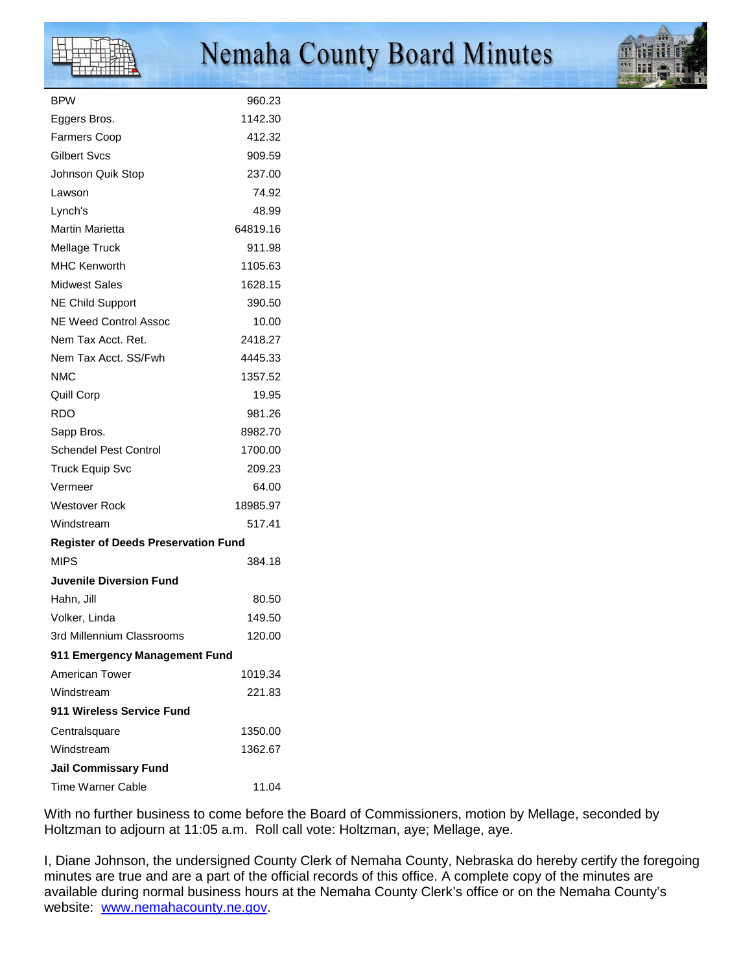| <b>BPW</b>                                 | 960.23   |
|--------------------------------------------|----------|
| Eggers Bros.                               | 1142.30  |
| <b>Farmers Coop</b>                        | 412.32   |
| Gilbert Svcs                               | 909.59   |
| Johnson Quik Stop                          | 237.00   |
| Lawson                                     | 74.92    |
| Lynch's                                    | 48.99    |
| Martin Marietta                            | 64819.16 |
| Mellage Truck                              | 911.98   |
| <b>MHC Kenworth</b>                        | 1105.63  |
| <b>Midwest Sales</b>                       | 1628.15  |
| <b>NE Child Support</b>                    | 390.50   |
| <b>NE Weed Control Assoc</b>               | 10.00    |
| Nem Tax Acct. Ret.                         | 2418.27  |
| Nem Tax Acct. SS/Fwh                       | 4445.33  |
| <b>NMC</b>                                 | 1357.52  |
| <b>Quill Corp</b>                          | 19.95    |
| <b>RDO</b>                                 | 981.26   |
| Sapp Bros.                                 | 8982.70  |
| <b>Schendel Pest Control</b>               | 1700.00  |
| Truck Equip Svc                            | 209.23   |
| Vermeer                                    | 64.00    |
| <b>Westover Rock</b>                       | 18985.97 |
| Windstream                                 | 517.41   |
| <b>Register of Deeds Preservation Fund</b> |          |
| <b>MIPS</b>                                | 384.18   |
| <b>Juvenile Diversion Fund</b>             |          |
| Hahn, Jill                                 | 80.50    |
| Volker, Linda                              | 149.50   |
| 3rd Millennium Classrooms                  | 120.00   |
| 911 Emergency Management Fund              |          |
| American Tower                             | 1019.34  |
| Windstream                                 | 221.83   |
| 911 Wireless Service Fund                  |          |
| Centralsquare                              | 1350.00  |
| Windstream                                 | 1362.67  |
| <b>Jail Commissary Fund</b>                |          |
| <b>Time Warner Cable</b>                   | 11.04    |
|                                            |          |

With no further business to come before the Board of Commissioners, motion by Mellage, seconded by Holtzman to adjourn at 11:05 a.m. Roll call vote: Holtzman, aye; Mellage, aye.

I, Diane Johnson, the undersigned County Clerk of Nemaha County, Nebraska do hereby certify the foregoing minutes are true and are a part of the official records of this office. A complete copy of the minutes are available during normal business hours at the Nemaha County Clerk's office or on the Nemaha County's website: www.nemahacounty.ne.gov.